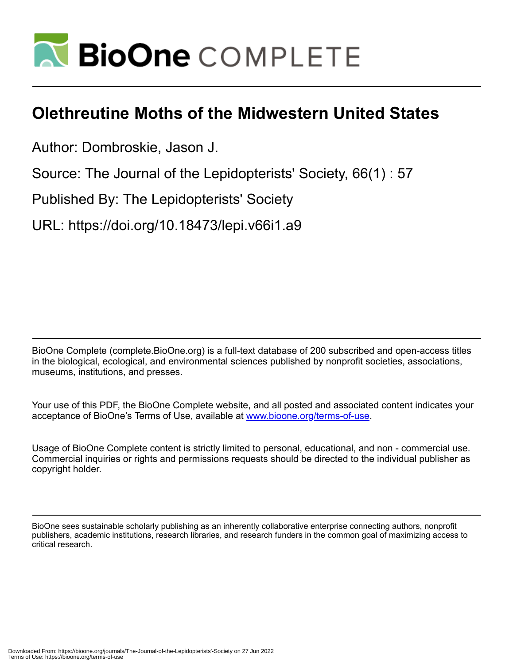

## **Olethreutine Moths of the Midwestern United States**

Author: Dombroskie, Jason J.

Source: The Journal of the Lepidopterists' Society, 66(1) : 57

Published By: The Lepidopterists' Society

URL: https://doi.org/10.18473/lepi.v66i1.a9

BioOne Complete (complete.BioOne.org) is a full-text database of 200 subscribed and open-access titles in the biological, ecological, and environmental sciences published by nonprofit societies, associations, museums, institutions, and presses.

Your use of this PDF, the BioOne Complete website, and all posted and associated content indicates your acceptance of BioOne's Terms of Use, available at www.bioone.org/terms-of-use.

Usage of BioOne Complete content is strictly limited to personal, educational, and non - commercial use. Commercial inquiries or rights and permissions requests should be directed to the individual publisher as copyright holder.

BioOne sees sustainable scholarly publishing as an inherently collaborative enterprise connecting authors, nonprofit publishers, academic institutions, research libraries, and research funders in the common goal of maximizing access to critical research.